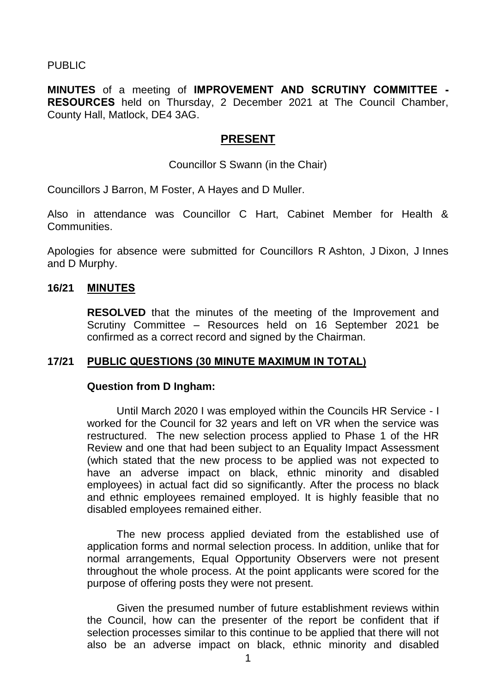PUBLIC

**MINUTES** of a meeting of **IMPROVEMENT AND SCRUTINY COMMITTEE - RESOURCES** held on Thursday, 2 December 2021 at The Council Chamber, County Hall, Matlock, DE4 3AG.

## **PRESENT**

Councillor S Swann (in the Chair)

Councillors J Barron, M Foster, A Hayes and D Muller.

Also in attendance was Councillor C Hart, Cabinet Member for Health & Communities.

Apologies for absence were submitted for Councillors R Ashton, J Dixon, J Innes and D Murphy.

### **16/21 MINUTES**

**RESOLVED** that the minutes of the meeting of the Improvement and Scrutiny Committee – Resources held on 16 September 2021 be confirmed as a correct record and signed by the Chairman.

### **17/21 PUBLIC QUESTIONS (30 MINUTE MAXIMUM IN TOTAL)**

#### **Question from D Ingham:**

Until March 2020 I was employed within the Councils HR Service - I worked for the Council for 32 years and left on VR when the service was restructured. The new selection process applied to Phase 1 of the HR Review and one that had been subject to an Equality Impact Assessment (which stated that the new process to be applied was not expected to have an adverse impact on black, ethnic minority and disabled employees) in actual fact did so significantly. After the process no black and ethnic employees remained employed. It is highly feasible that no disabled employees remained either.

The new process applied deviated from the established use of application forms and normal selection process. In addition, unlike that for normal arrangements, Equal Opportunity Observers were not present throughout the whole process. At the point applicants were scored for the purpose of offering posts they were not present.

Given the presumed number of future establishment reviews within the Council, how can the presenter of the report be confident that if selection processes similar to this continue to be applied that there will not also be an adverse impact on black, ethnic minority and disabled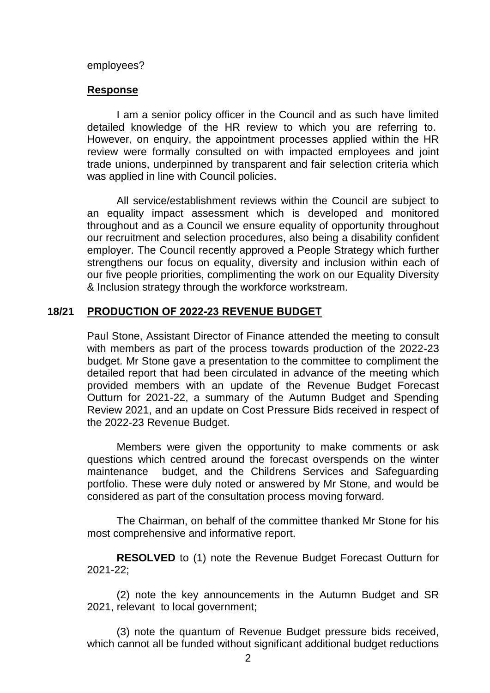#### employees?

### **Response**

I am a senior policy officer in the Council and as such have limited detailed knowledge of the HR review to which you are referring to. However, on enquiry, the appointment processes applied within the HR review were formally consulted on with impacted employees and joint trade unions, underpinned by transparent and fair selection criteria which was applied in line with Council policies.

All service/establishment reviews within the Council are subject to an equality impact assessment which is developed and monitored throughout and as a Council we ensure equality of opportunity throughout our recruitment and selection procedures, also being a disability confident employer. The Council recently approved a People Strategy which further strengthens our focus on equality, diversity and inclusion within each of our five people priorities, complimenting the work on our Equality Diversity & Inclusion strategy through the workforce workstream.

### **18/21 PRODUCTION OF 2022-23 REVENUE BUDGET**

Paul Stone, Assistant Director of Finance attended the meeting to consult with members as part of the process towards production of the 2022-23 budget. Mr Stone gave a presentation to the committee to compliment the detailed report that had been circulated in advance of the meeting which provided members with an update of the Revenue Budget Forecast Outturn for 2021-22, a summary of the Autumn Budget and Spending Review 2021, and an update on Cost Pressure Bids received in respect of the 2022-23 Revenue Budget.

Members were given the opportunity to make comments or ask questions which centred around the forecast overspends on the winter maintenance budget, and the Childrens Services and Safeguarding portfolio. These were duly noted or answered by Mr Stone, and would be considered as part of the consultation process moving forward.

The Chairman, on behalf of the committee thanked Mr Stone for his most comprehensive and informative report.

**RESOLVED** to (1) note the Revenue Budget Forecast Outturn for 2021-22;

(2) note the key announcements in the Autumn Budget and SR 2021, relevant to local government;

(3) note the quantum of Revenue Budget pressure bids received, which cannot all be funded without significant additional budget reductions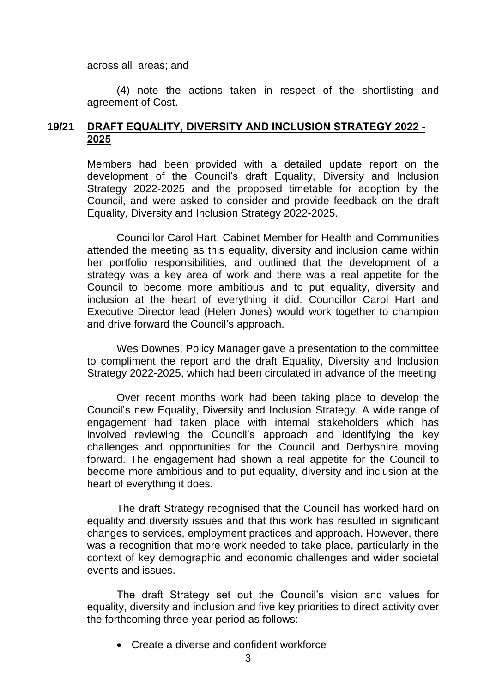across all areas; and

(4) note the actions taken in respect of the shortlisting and agreement of Cost.

# **19/21 DRAFT EQUALITY, DIVERSITY AND INCLUSION STRATEGY 2022 - 2025**

Members had been provided with a detailed update report on the development of the Council's draft Equality, Diversity and Inclusion Strategy 2022-2025 and the proposed timetable for adoption by the Council, and were asked to consider and provide feedback on the draft Equality, Diversity and Inclusion Strategy 2022-2025.

Councillor Carol Hart, Cabinet Member for Health and Communities attended the meeting as this equality, diversity and inclusion came within her portfolio responsibilities, and outlined that the development of a strategy was a key area of work and there was a real appetite for the Council to become more ambitious and to put equality, diversity and inclusion at the heart of everything it did. Councillor Carol Hart and Executive Director lead (Helen Jones) would work together to champion and drive forward the Council's approach.

Wes Downes, Policy Manager gave a presentation to the committee to compliment the report and the draft Equality, Diversity and Inclusion Strategy 2022-2025, which had been circulated in advance of the meeting

Over recent months work had been taking place to develop the Council's new Equality, Diversity and Inclusion Strategy. A wide range of engagement had taken place with internal stakeholders which has involved reviewing the Council's approach and identifying the key challenges and opportunities for the Council and Derbyshire moving forward. The engagement had shown a real appetite for the Council to become more ambitious and to put equality, diversity and inclusion at the heart of everything it does.

The draft Strategy recognised that the Council has worked hard on equality and diversity issues and that this work has resulted in significant changes to services, employment practices and approach. However, there was a recognition that more work needed to take place, particularly in the context of key demographic and economic challenges and wider societal events and issues.

The draft Strategy set out the Council's vision and values for equality, diversity and inclusion and five key priorities to direct activity over the forthcoming three-year period as follows:

Create a diverse and confident workforce